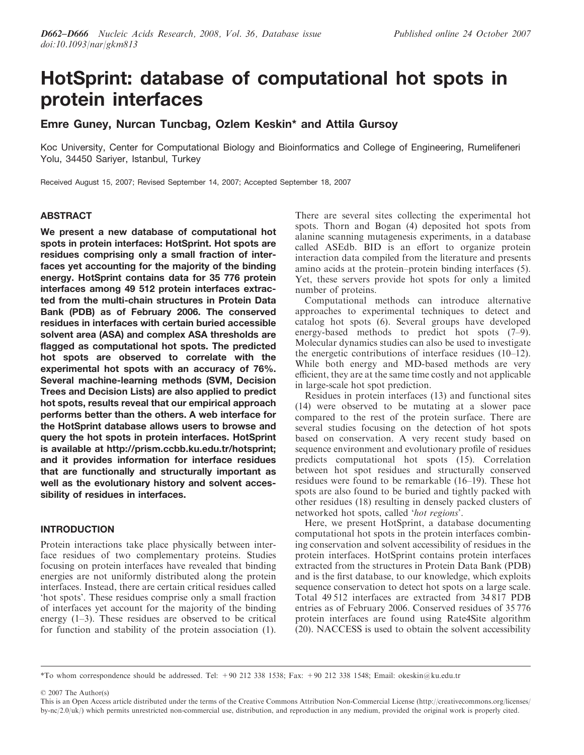# HotSprint: database of computational hot spots in protein interfaces

# Emre Guney, Nurcan Tuncbag, Ozlem Keskin\* and Attila Gursoy

Koc University, Center for Computational Biology and Bioinformatics and College of Engineering, Rumelifeneri Yolu, 34450 Sariyer, Istanbul, Turkey

Received August 15, 2007; Revised September 14, 2007; Accepted September 18, 2007

# ABSTRACT

We present a new database of computational hot spots in protein interfaces: HotSprint. Hot spots are residues comprising only a small fraction of interfaces yet accounting for the majority of the binding energy. HotSprint contains data for 35 776 protein interfaces among 49 512 protein interfaces extracted from the multi-chain structures in Protein Data Bank (PDB) as of February 2006. The conserved residues in interfaces with certain buried accessible solvent area (ASA) and complex ASA thresholds are flagged as computational hot spots. The predicted hot spots are observed to correlate with the experimental hot spots with an accuracy of 76%. Several machine-learning methods (SVM, Decision Trees and Decision Lists) are also applied to predict hot spots, results reveal that our empirical approach performs better than the others. A web interface for the HotSprint database allows users to browse and query the hot spots in protein interfaces. HotSprint is available at [http://prism.ccbb.ku.edu.tr/hotsprint;](http://prism.ccbb.ku.edu.tr/hotsprint) and it provides information for interface residues that are functionally and structurally important as well as the evolutionary history and solvent accessibility of residues in interfaces.

# INTRODUCTION

Protein interactions take place physically between interface residues of two complementary proteins. Studies focusing on protein interfaces have revealed that binding energies are not uniformly distributed along the protein interfaces. Instead, there are certain critical residues called 'hot spots'. These residues comprise only a small fraction of interfaces yet account for the majority of the binding energy  $(1-3)$ . These residues are observed to be critical for function and stability of the protein association (1). There are several sites collecting the experimental hot spots. Thorn and Bogan (4) deposited hot spots from alanine scanning mutagenesis experiments, in a database called ASEdb. BID is an effort to organize protein interaction data compiled from the literature and presents amino acids at the protein–protein binding interfaces (5). Yet, these servers provide hot spots for only a limited number of proteins.

Computational methods can introduce alternative approaches to experimental techniques to detect and catalog hot spots (6). Several groups have developed energy-based methods to predict hot spots (7–9). Molecular dynamics studies can also be used to investigate the energetic contributions of interface residues (10–12). While both energy and MD-based methods are very efficient, they are at the same time costly and not applicable in large-scale hot spot prediction.

Residues in protein interfaces (13) and functional sites (14) were observed to be mutating at a slower pace compared to the rest of the protein surface. There are several studies focusing on the detection of hot spots based on conservation. A very recent study based on sequence environment and evolutionary profile of residues predicts computational hot spots (15). Correlation between hot spot residues and structurally conserved residues were found to be remarkable (16–19). These hot spots are also found to be buried and tightly packed with other residues (18) resulting in densely packed clusters of networked hot spots, called 'hot regions'.

Here, we present HotSprint, a database documenting computational hot spots in the protein interfaces combining conservation and solvent accessibility of residues in the protein interfaces. HotSprint contains protein interfaces extracted from the structures in Protein Data Bank (PDB) and is the first database, to our knowledge, which exploits sequence conservation to detect hot spots on a large scale. Total 49 512 interfaces are extracted from 34 817 PDB entries as of February 2006. Conserved residues of 35 776 protein interfaces are found using Rate4Site algorithm (20). NACCESS is used to obtain the solvent accessibility

2007 The Author(s)

<sup>\*</sup>To whom correspondence should be addressed. Tel: +90 212 338 1538; Fax: +90 212 338 1548; Email: okeskin@ku.edu.tr

This is an Open Access article distributed under the terms of the Creative Commons Attribution Non-Commercial License [\(http://creativecommons.org/licenses/](http://creativecommons.org/licenses/) by-nc/2.0/uk/) which permits unrestricted non-commercial use, distribution, and reproduction in any medium, provided the original work is properly cited.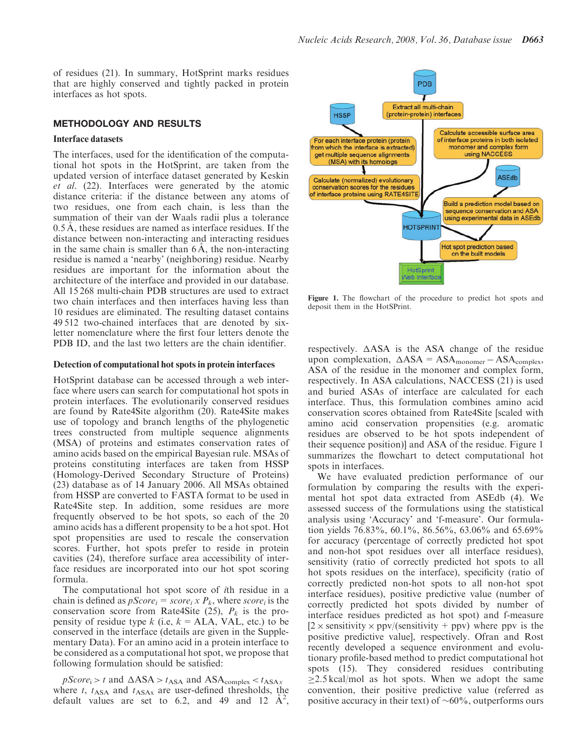of residues (21). In summary, HotSprint marks residues that are highly conserved and tightly packed in protein interfaces as hot spots.

## METHODOLOGY AND RESULTS

## Interface datasets

The interfaces, used for the identification of the computational hot spots in the HotSprint, are taken from the updated version of interface dataset generated by Keskin et al. (22). Interfaces were generated by the atomic distance criteria: if the distance between any atoms of two residues, one from each chain, is less than the summation of their van der Waals radii plus a tolerance 0.5 Å, these residues are named as interface residues. If the distance between non-interacting and interacting residues in the same chain is smaller than  $6\text{\AA}$ , the non-interacting residue is named a 'nearby' (neighboring) residue. Nearby residues are important for the information about the architecture of the interface and provided in our database. All 15 268 multi-chain PDB structures are used to extract two chain interfaces and then interfaces having less than 10 residues are eliminated. The resulting dataset contains 49 512 two-chained interfaces that are denoted by sixletter nomenclature where the first four letters denote the PDB ID, and the last two letters are the chain identifier.

#### Detection of computational hot spots in protein interfaces

HotSprint database can be accessed through a web interface where users can search for computational hot spots in protein interfaces. The evolutionarily conserved residues are found by Rate4Site algorithm (20). Rate4Site makes use of topology and branch lengths of the phylogenetic trees constructed from multiple sequence alignments (MSA) of proteins and estimates conservation rates of amino acids based on the empirical Bayesian rule. MSAs of proteins constituting interfaces are taken from HSSP (Homology-Derived Secondary Structure of Proteins) (23) database as of 14 January 2006. All MSAs obtained from HSSP are converted to FASTA format to be used in Rate4Site step. In addition, some residues are more frequently observed to be hot spots, so each of the 20 amino acids has a different propensity to be a hot spot. Hot spot propensities are used to rescale the conservation scores. Further, hot spots prefer to reside in protein cavities (24), therefore surface area accessibility of interface residues are incorporated into our hot spot scoring formula.

The computational hot spot score of ith residue in a chain is defined as  $pScore_i=score_i$ , where score, is the conservation score from Rate4Site (25),  $P_k$  is the propensity of residue type k (i.e,  $k = ALA$ , VAL, etc.) to be conserved in the interface (details are given in the Supplementary Data). For an amino acid in a protein interface to be considered as a computational hot spot, we propose that following formulation should be satisfied:

 $pScore_i > t$  and  $\DeltaASA > t_{ASA}$  and  $ASA_{complex} < t_{ASAx}$ where  $t$ ,  $t_{\text{ASA}}$  and  $t_{\text{ASA}}$  are user-defined thresholds, the default values are set to 6.2, and 49 and  $12 \hat{\mathbf{A}}^2$ ,



Figure 1. The flowchart of the procedure to predict hot spots and deposit them in the HotSPrint.

respectively.  $\triangle$ ASA is the ASA change of the residue upon complexation,  $\triangle$ ASA = ASA<sub>monomer</sub> - ASA<sub>complex</sub>, ASA of the residue in the monomer and complex form, respectively. In ASA calculations, NACCESS (21) is used and buried ASAs of interface are calculated for each interface. Thus, this formulation combines amino acid conservation scores obtained from Rate4Site [scaled with amino acid conservation propensities (e.g. aromatic residues are observed to be hot spots independent of their sequence position)] and ASA of the residue. Figure 1 summarizes the flowchart to detect computational hot spots in interfaces.

We have evaluated prediction performance of our formulation by comparing the results with the experimental hot spot data extracted from ASEdb (4). We assessed success of the formulations using the statistical analysis using 'Accuracy' and 'f-measure'. Our formulation yields 76.83%, 60.1%, 86.56%, 63.06% and 65.69% for accuracy (percentage of correctly predicted hot spot and non-hot spot residues over all interface residues), sensitivity (ratio of correctly predicted hot spots to all hot spots residues on the interface), specificity (ratio of correctly predicted non-hot spots to all non-hot spot interface residues), positive predictive value (number of correctly predicted hot spots divided by number of interface residues predicted as hot spot) and f-measure  $[2 \times$  sensitivity  $\times$  ppv/(sensitivity + ppv) where ppv is the positive predictive value], respectively. Ofran and Rost recently developed a sequence environment and evolutionary profile-based method to predict computational hot spots (15). They considered residues contributing  $\geq$ 2.5 kcal/mol as hot spots. When we adopt the same convention, their positive predictive value (referred as positive accuracy in their text) of  $\sim 60\%$ , outperforms ours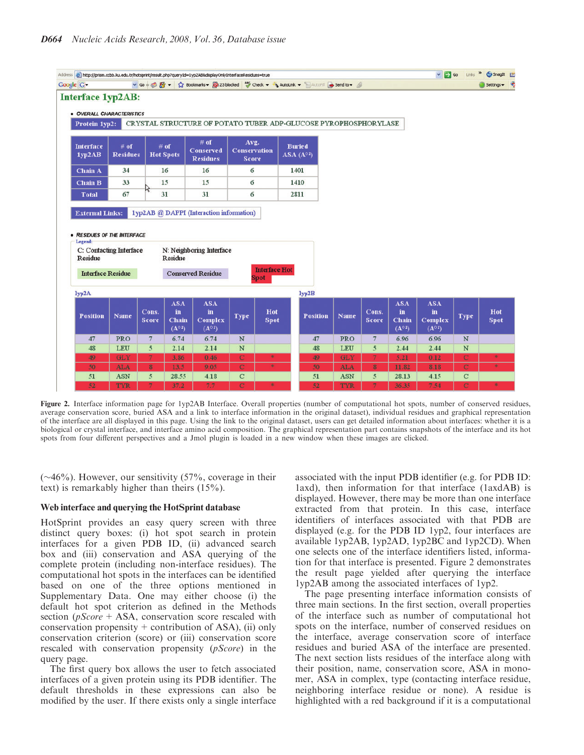| Address (B) http://prism.ccbb.ku.edu.tr/hotsprint/result.php?queryId=1yp2AB&displayOnlyInterfaceResidues=true<br>v Go + B En v 12 Bookmarks + Ba 23 blocked "F Check + AutoLink + AutoFill a Send to + AutoFill<br>Google G- |                           |                       |                                                      |                                                      |                                             |                      |                                                                 |                          |                                  |                                              |                                                | $\vee$ $\Box$ Go<br>Links     | Snaglt El          |  |
|------------------------------------------------------------------------------------------------------------------------------------------------------------------------------------------------------------------------------|---------------------------|-----------------------|------------------------------------------------------|------------------------------------------------------|---------------------------------------------|----------------------|-----------------------------------------------------------------|--------------------------|----------------------------------|----------------------------------------------|------------------------------------------------|-------------------------------|--------------------|--|
|                                                                                                                                                                                                                              |                           |                       |                                                      |                                                      |                                             |                      |                                                                 |                          |                                  |                                              |                                                |                               | Settings +         |  |
| <b>Interface 1yp2AB:</b><br>· OVERALL CHARACTERISTICS<br>Protein 1yp2:                                                                                                                                                       |                           |                       |                                                      |                                                      |                                             |                      | CRYSTAL STRUCTURE OF POTATO TUBER ADP-GLUCOSE PYROPHOSPHORYLASE |                          |                                  |                                              |                                                |                               |                    |  |
| <b>Interface</b><br>1yp2AB                                                                                                                                                                                                   | $#$ of<br><b>Residues</b> |                       | $#$ of<br><b>Hot Spots</b>                           | # of<br><b>Conserved</b><br><b>Residues</b>          | Avg.<br><b>Conservation</b><br><b>Score</b> |                      | <b>Buried</b><br>ASA $(A^{\circ 2})$                            |                          |                                  |                                              |                                                |                               |                    |  |
| <b>Chain A</b>                                                                                                                                                                                                               | 34                        |                       | 16                                                   | 16                                                   | 6                                           |                      | 1401                                                            |                          |                                  |                                              |                                                |                               |                    |  |
| <b>Chain B</b>                                                                                                                                                                                                               | 33                        |                       | 15                                                   | 15                                                   | 6                                           |                      | 1410                                                            |                          |                                  |                                              |                                                |                               |                    |  |
| <b>Total</b>                                                                                                                                                                                                                 | 67                        |                       | 31                                                   | 31                                                   | 6                                           |                      | 2811                                                            |                          |                                  |                                              |                                                |                               |                    |  |
| Residue<br><b>Interface Residue</b>                                                                                                                                                                                          | C: Contacting Interface   |                       | Residue                                              | N: Neighboring Interface<br><b>Conserved Residue</b> |                                             | <b>Interface Hot</b> |                                                                 |                          |                                  |                                              |                                                |                               |                    |  |
|                                                                                                                                                                                                                              |                           |                       |                                                      |                                                      |                                             | Spot                 |                                                                 |                          |                                  |                                              |                                                |                               |                    |  |
| 1yp2A                                                                                                                                                                                                                        |                           |                       |                                                      |                                                      |                                             |                      | 1yp2B                                                           |                          |                                  |                                              |                                                |                               |                    |  |
| <b>Position</b>                                                                                                                                                                                                              | Name                      | Cons.<br><b>Score</b> | <b>ASA</b><br>in.<br><b>Chain</b><br>$(A^{\circ 2})$ | <b>ASA</b><br>in<br>Complex<br>$(A^{\circ 2})$       | Type                                        | Hot<br>Spot          | <b>Position</b>                                                 | <b>Name</b>              | Cons.<br><b>Score</b>            | <b>ASA</b><br>in<br>Chain<br>$(A^{\circ 2})$ | <b>ASA</b><br>in<br>Complex<br>$(A^{\circ 2})$ | <b>Type</b>                   | Hot<br><b>Spot</b> |  |
| 47                                                                                                                                                                                                                           | PRO                       | $7\phantom{.0}$       | 6.74                                                 | 6.74                                                 | $\mathbf N$                                 |                      | 47                                                              | PRO                      | 7                                | 6.96                                         | 6.96                                           | $\,$ N                        |                    |  |
| 48                                                                                                                                                                                                                           | LEU                       | $\overline{5}$        | 2.14                                                 | 2.14                                                 | $\mathbf N$                                 |                      | 48                                                              | LEU                      | $\overline{5}$                   | 2.44                                         | 2.44                                           | N                             |                    |  |
| 49                                                                                                                                                                                                                           | GLY                       | $\overline{7}$        | 3.86                                                 | 0.46                                                 | $\mathbf C$                                 | 家                    | 49                                                              | <b>GLY</b>               | $\overline{7}$                   | 5.21                                         | 0.12                                           | $\mathbf C$                   | *                  |  |
| 50                                                                                                                                                                                                                           | <b>ALA</b>                | 8                     | 13.5                                                 | 9.05                                                 | $\mathbf C$                                 | 串                    | 50                                                              | <b>ALA</b>               | 8                                | 11.82                                        | 8.18                                           | $\mathbf C$                   | *                  |  |
| 51<br>52                                                                                                                                                                                                                     | <b>ASN</b><br><b>TYR</b>  | 5<br>$7\phantom{.}$   | 28.55<br>37.2                                        | 4.18<br>7.7                                          | $\mathbf C$<br>$\overline{C}$               | 車                    | 51<br>52                                                        | <b>ASN</b><br><b>TYR</b> | 5 <sup>5</sup><br>$\overline{7}$ | 28.13<br>36.35                               | 4.15<br>7.54                                   | $\mathbf C$<br>$\overline{C}$ | *                  |  |
|                                                                                                                                                                                                                              |                           |                       |                                                      |                                                      |                                             |                      |                                                                 |                          |                                  |                                              |                                                |                               |                    |  |

Figure 2. Interface information page for 1yp2AB Interface. Overall properties (number of computational hot spots, number of conserved residues, average conservation score, buried ASA and a link to interface information in the original dataset), individual residues and graphical representation of the interface are all displayed in this page. Using the link to the original dataset, users can get detailed information about interfaces: whether it is a biological or crystal interface, and interface amino acid composition. The graphical representation part contains snapshots of the interface and its hot spots from four different perspectives and a Jmol plugin is loaded in a new window when these images are clicked.

 $(\sim 46\%)$ . However, our sensitivity (57%, coverage in their text) is remarkably higher than theirs (15%).

#### Web interface and querying the HotSprint database

HotSprint provides an easy query screen with three distinct query boxes: (i) hot spot search in protein interfaces for a given PDB ID, (ii) advanced search box and (iii) conservation and ASA querying of the complete protein (including non-interface residues). The computational hot spots in the interfaces can be identified based on one of the three options mentioned in Supplementary Data. One may either choose (i) the default hot spot criterion as defined in the Methods section ( $pScore +ASA$ , conservation score rescaled with conservation propensity  $+$  contribution of ASA), (ii) only conservation criterion (score) or (iii) conservation score rescaled with conservation propensity (pScore) in the query page.

The first query box allows the user to fetch associated interfaces of a given protein using its PDB identifier. The default thresholds in these expressions can also be modified by the user. If there exists only a single interface

associated with the input PDB identifier (e.g. for PDB ID: 1axd), then information for that interface (1axdAB) is displayed. However, there may be more than one interface extracted from that protein. In this case, interface identifiers of interfaces associated with that PDB are displayed (e.g. for the PDB ID 1yp2, four interfaces are available 1yp2AB, 1yp2AD, 1yp2BC and 1yp2CD). When one selects one of the interface identifiers listed, information for that interface is presented. Figure 2 demonstrates the result page yielded after querying the interface 1yp2AB among the associated interfaces of 1yp2.

The page presenting interface information consists of three main sections. In the first section, overall properties of the interface such as number of computational hot spots on the interface, number of conserved residues on the interface, average conservation score of interface residues and buried ASA of the interface are presented. The next section lists residues of the interface along with their position, name, conservation score, ASA in monomer, ASA in complex, type (contacting interface residue, neighboring interface residue or none). A residue is highlighted with a red background if it is a computational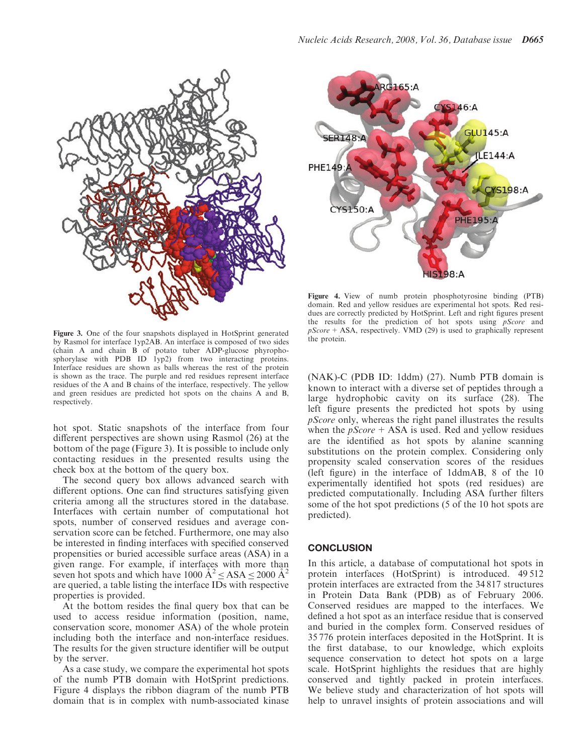



Figure 3. One of the four snapshots displayed in HotSprint generated by Rasmol for interface 1yp2AB. An interface is composed of two sides (chain A and chain B of potato tuber ADP-glucose phyrophosphorylase with PDB ID 1yp2) from two interacting proteins. Interface residues are shown as balls whereas the rest of the protein is shown as the trace. The purple and red residues represent interface residues of the A and B chains of the interface, respectively. The yellow and green residues are predicted hot spots on the chains A and B, respectively.

hot spot. Static snapshots of the interface from four different perspectives are shown using Rasmol (26) at the bottom of the page (Figure 3). It is possible to include only contacting residues in the presented results using the check box at the bottom of the query box.

The second query box allows advanced search with different options. One can find structures satisfying given criteria among all the structures stored in the database. Interfaces with certain number of computational hot spots, number of conserved residues and average conservation score can be fetched. Furthermore, one may also be interested in finding interfaces with specified conserved propensities or buried accessible surface areas (ASA) in a given range. For example, if interfaces with more than seven hot spots and which have 1000  $\mathbf{A}^2 \leq \mathbf{ASA} \leq 2000 \mathbf{A}^2$ are queried, a table listing the interface IDs with respective properties is provided.

At the bottom resides the final query box that can be used to access residue information (position, name, conservation score, monomer ASA) of the whole protein including both the interface and non-interface residues. The results for the given structure identifier will be output by the server.

As a case study, we compare the experimental hot spots of the numb PTB domain with HotSprint predictions. Figure 4 displays the ribbon diagram of the numb PTB domain that is in complex with numb-associated kinase

Figure 4. View of numb protein phosphotyrosine binding (PTB) domain. Red and yellow residues are experimental hot spots. Red residues are correctly predicted by HotSprint. Left and right figures present the results for the prediction of hot spots using *pScore* and  $pScore + ASA$ , respectively. VMD (29) is used to graphically represent the protein.

(NAK)-C (PDB ID: 1ddm) (27). Numb PTB domain is known to interact with a diverse set of peptides through a large hydrophobic cavity on its surface (28). The left figure presents the predicted hot spots by using pScore only, whereas the right panel illustrates the results when the  $pScore + ASA$  is used. Red and yellow residues are the identified as hot spots by alanine scanning substitutions on the protein complex. Considering only propensity scaled conservation scores of the residues (left figure) in the interface of 1ddmAB, 8 of the 10 experimentally identified hot spots (red residues) are predicted computationally. Including ASA further filters some of the hot spot predictions (5 of the 10 hot spots are predicted).

## **CONCLUSION**

In this article, a database of computational hot spots in protein interfaces (HotSprint) is introduced. 49 512 protein interfaces are extracted from the 34 817 structures in Protein Data Bank (PDB) as of February 2006. Conserved residues are mapped to the interfaces. We defined a hot spot as an interface residue that is conserved and buried in the complex form. Conserved residues of 35 776 protein interfaces deposited in the HotSprint. It is the first database, to our knowledge, which exploits sequence conservation to detect hot spots on a large scale. HotSprint highlights the residues that are highly conserved and tightly packed in protein interfaces. We believe study and characterization of hot spots will help to unravel insights of protein associations and will